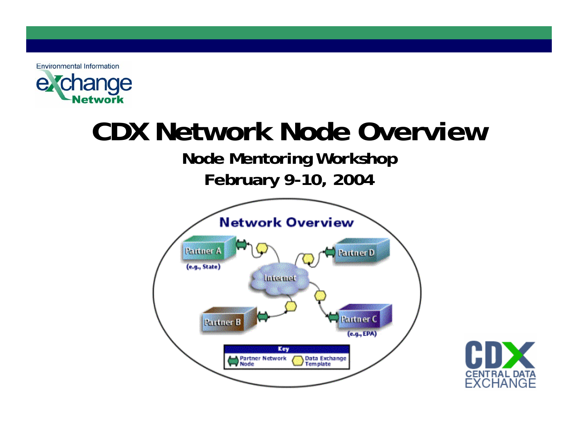

# **CDX Network Node Overview**

#### **Node Mentoring Workshop February 9-10, 2004**



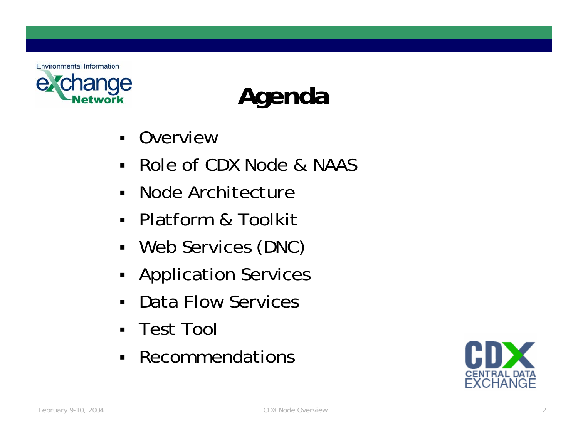

# **Agenda**

- $\blacksquare$ Overview
- $\blacksquare$ Role of CDX Node & NAAS
- Node Architecture
- Platform & Toolkit
- Web Services (DNC)
- **-** Application Services
- $\blacksquare$ Data Flow Services
- $\blacksquare$ Test Tool
- $\blacksquare$ Recommendations

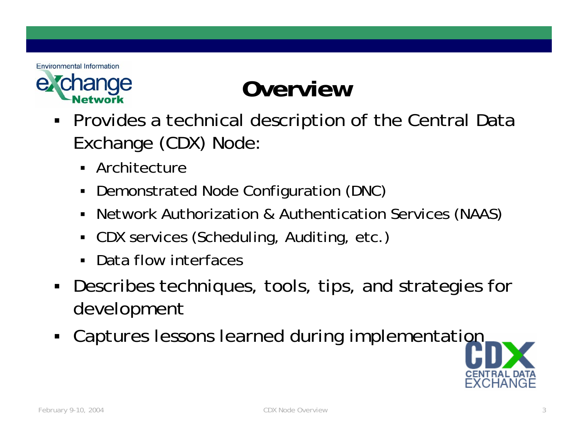

#### **Overview**

- ٠ Provides a technical description of the Central Data Exchange (CDX) Node:
	- Architecture
	- Demonstrated Node Configuration (DNC)
	- $\blacksquare$ Network Authorization & Authentication Services (NAAS)
	- CDX services (Scheduling, Auditing, etc.)
	- Data flow interfaces
- $\blacksquare$  Describes techniques, tools, tips, and strategies for development
- Captures lessons learned during implementation

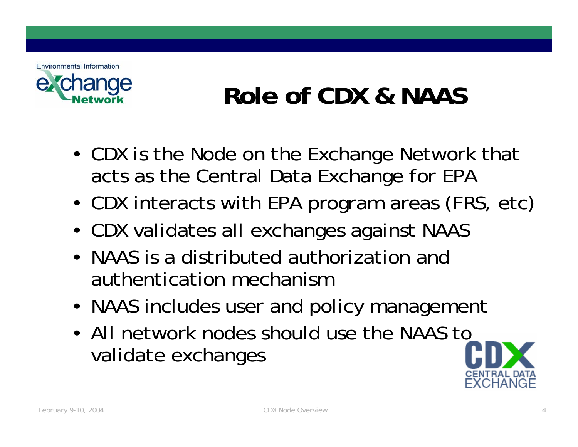

#### **Role of CDX & NAAS**

- • CDX is the Node on the Exchange Network that acts as the Central Data Exchange for EPA
- •CDX interacts with EPA program areas (FRS, etc)
- •CDX validates all exchanges against NAAS
- •NAAS is a distributed authorization and authentication mechanism
- •• NAAS includes user and policy management
- •All network nodes should use the NAAS to validate exchanges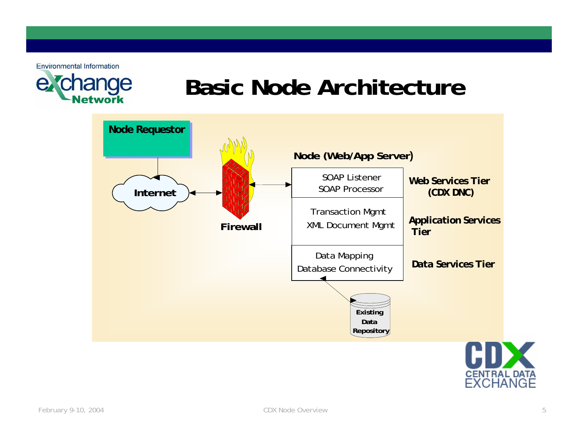

#### **Basic Node Architecture**



FXCHANGF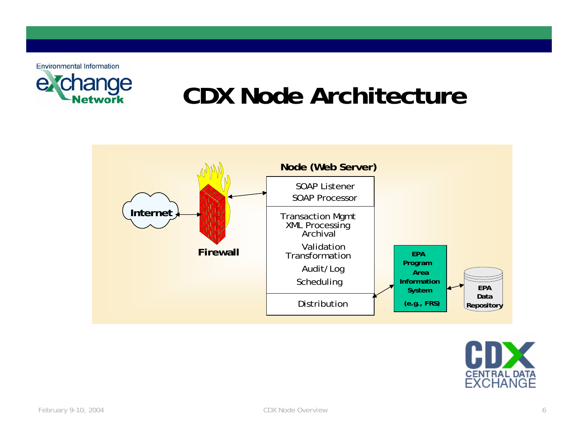

#### **CDX Node Architecture**



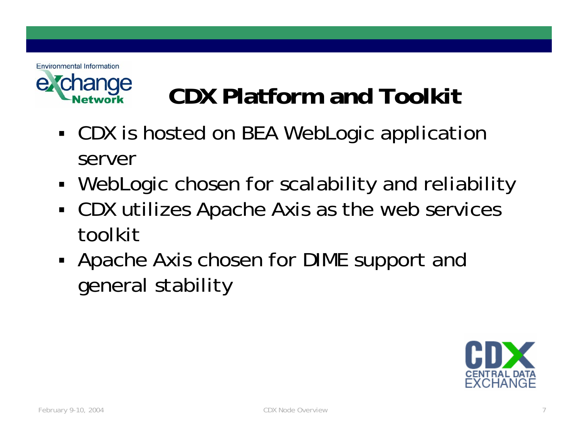

# **CDX Platform and Toolkit**

- П CDX is hosted on BEA WebLogic application server
- П WebLogic chosen for scalability and reliability
- и CDX utilizes Apache Axis as the web services toolkit
- П Apache Axis chosen for DIME support and general stability

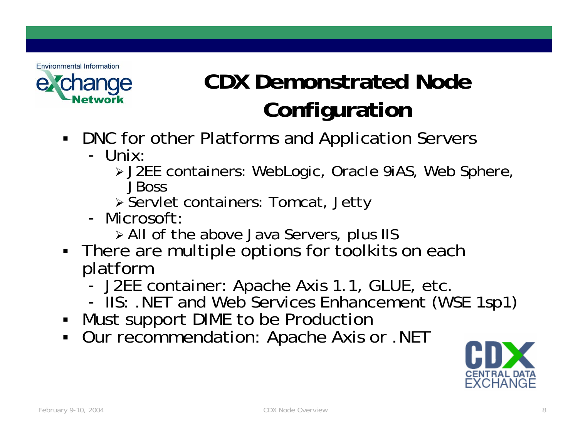

#### **CDX Demonstrated Node Configuration**

- DNC for other Platforms and Application Servers
	- Unix:
		- ¾ J2EE containers: WebLogic, Oracle 9iAS, Web Sphere, JBoss
		- ¾ Servlet containers: Tomcat, Jetty
	- Microsoft:
		- ¾ All of the above Java Servers, plus IIS
- **There are multiple options for toolkits on each** platform
	- -- J2EE container: Apache Axis 1.1, GLUE, etc.
	- -- IIS: .NET and Web Services Enhancement (WSE 1sp1)
- Must support DIME to be Production
- Our recommendation: Apache Axis or .NET

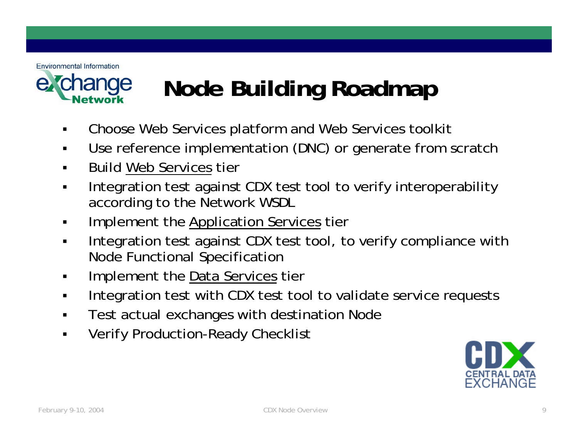

#### **Node Building Roadmap**

- $\blacksquare$ Choose Web Services platform and Web Services toolkit
- $\blacksquare$ Use reference implementation (DNC) o r generate from scratch
- $\blacksquare$ Build Web Services tier
- $\blacksquare$  Integration test against CDX test tool to verify interoperability according to the Network WSDL
- Implement the Application Services tier
- Integration test against CDX test tool, to verify compliance with Node Functional Specification
- Implement the Data Services tier
- $\blacksquare$ • Integration test with CDX test tool to validate service requests
- $\blacksquare$ Test actual exchanges with destination Node
- $\blacksquare$ Verify Production-Ready Checklist

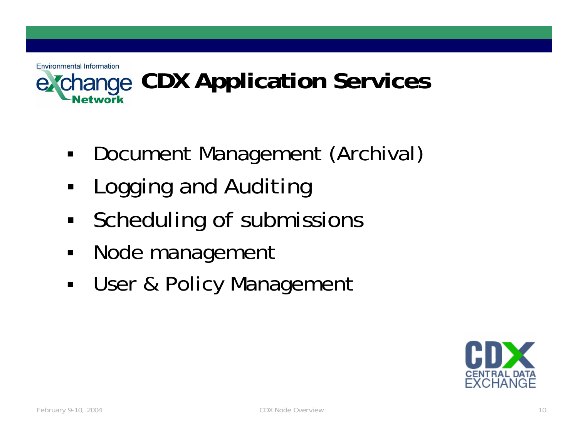#### **Environmental Information CDX Application Services**

- $\blacksquare$ Document Management (Archival)
- $\blacksquare$ Logging and Auditing
- $\blacksquare$ Scheduling of submissions
- $\blacksquare$ Node management
- $\blacksquare$ User & Policy Management

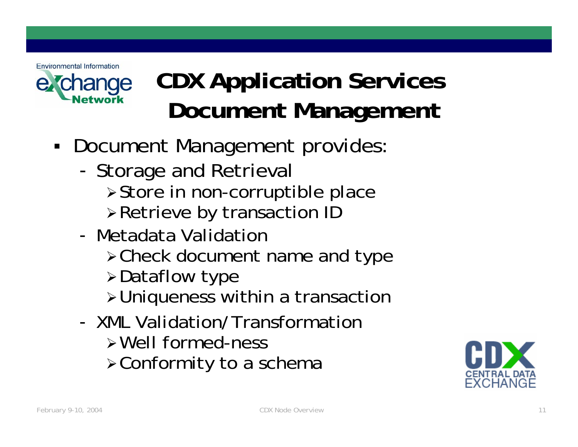

## **CDX Application Services Document Management**

- $\blacksquare$  Document Management provides:
	- -- Storage and Retrieval
		- <sup>¾</sup>Store in non-corruptible place
		- <sup>¾</sup>Retrieve by transaction ID
	- Metadata Validation
		- <sup>¾</sup>Check document name and type
		- <sup>¾</sup>Dataflow type
		- <sup>¾</sup>Uniqueness within a transaction
	- XML Validation/Transformation
		- ¾Well formed-ness
		- <sup>¾</sup>Conformity to a schema

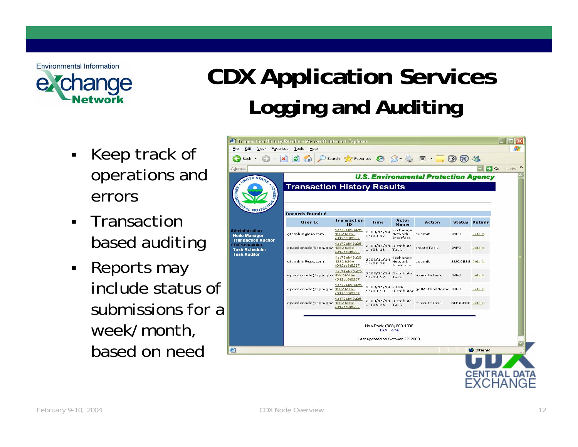

## **CDX Application Services Logging and Auditing**

- • Keep track of operations and errors
- Transaction based auditing
- Reports may include status of submissions for a week/month, based on need

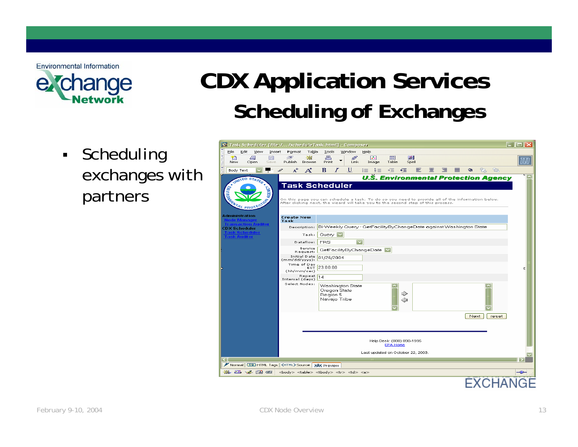

## **CDX Application Services Scheduling of Exchanges**

■ • Scheduling exchanges with partners

|                                                                                            | X Task Scheduler [file://scheduleTask.html] - Composer                                                                                                                                                         |                         |                                                |        |                |       |  |  |  |  |                |
|--------------------------------------------------------------------------------------------|----------------------------------------------------------------------------------------------------------------------------------------------------------------------------------------------------------------|-------------------------|------------------------------------------------|--------|----------------|-------|--|--|--|--|----------------|
| Eile<br>Edit<br>View<br>Insert                                                             | Format<br>Table<br><b>Tools</b>                                                                                                                                                                                | Window<br>Help          |                                                |        |                |       |  |  |  |  |                |
| 国<br>Ť٦<br>₩<br>New<br>Open<br>Save                                                        | 昌<br><b>E</b><br>灩<br>Publish<br>Browse<br>Print                                                                                                                                                               | R<br>B<br>Link<br>Image | $ \mathbf{x} $<br><b>FFI</b><br>Table<br>Spell |        |                |       |  |  |  |  |                |
| 面<br>Body Text                                                                             | $A^+$<br>${\bf A}^{\!\star}$<br>Ι<br>в<br>P                                                                                                                                                                    | U<br>這<br>主事            | $\cdot$<br>≣<br>≁≣                             | 壹<br>三 | $\bullet$<br>먺 | t.    |  |  |  |  |                |
| UNITED STATES<br><b>ENVIRONME</b><br><b>AGENCY</b><br><b>PRO</b>                           | <b>Task Scheduler</b><br>On this page you can schedule a task. To do so you need to provide all of the information below.<br>After clicking next, the wizard will take you to the second step of this process. |                         | <b>U.S. Environmental Protection Agency</b>    |        |                |       |  |  |  |  |                |
| <b>Administration</b>                                                                      | <b>Create New</b><br>Task                                                                                                                                                                                      |                         |                                                |        |                |       |  |  |  |  |                |
| CDX Scheduler                                                                              | Description: Bi-Weekly Query - GetFacilityByChangeDate against Washington State                                                                                                                                |                         |                                                |        |                |       |  |  |  |  |                |
| <b>Task Auditor</b>                                                                        | Query $ $<br>Task:                                                                                                                                                                                             |                         |                                                |        |                |       |  |  |  |  |                |
|                                                                                            | <b>FRS</b><br>Dataflow:                                                                                                                                                                                        | $\overline{\mathbf{v}}$ |                                                |        |                |       |  |  |  |  |                |
|                                                                                            | Service<br>Request:                                                                                                                                                                                            | GetFacilityByChangeDate |                                                |        |                |       |  |  |  |  |                |
|                                                                                            | Initial Date 01/26/2004<br>$(mm/dd/yyyy)$ :                                                                                                                                                                    |                         |                                                |        |                |       |  |  |  |  |                |
|                                                                                            | Time of Day<br>55123:00:00<br>(hh/mm/sec)                                                                                                                                                                      |                         |                                                |        |                | Е     |  |  |  |  |                |
|                                                                                            | Repeat 14<br>Interval (days)                                                                                                                                                                                   |                         |                                                |        |                |       |  |  |  |  |                |
|                                                                                            | Select Nodes:<br><b>Washington State</b><br>Oregon State<br>Region 5<br>Navajo Tribe                                                                                                                           |                         | ⊲                                              |        |                |       |  |  |  |  |                |
|                                                                                            |                                                                                                                                                                                                                |                         |                                                |        | Next           | reset |  |  |  |  |                |
|                                                                                            | Help Desk: (888) 890-1995<br><b>EPA Home</b>                                                                                                                                                                   |                         |                                                |        |                |       |  |  |  |  |                |
|                                                                                            |                                                                                                                                                                                                                |                         | Last updated on October 22, 2003.              |        |                |       |  |  |  |  |                |
| $\vert\vert$<br>Normal TO HTML Tags <html>Source &gt;&gt;&gt;&gt;&gt;&gt;Review</html>     |                                                                                                                                                                                                                |                         |                                                |        |                |       |  |  |  |  |                |
| ※ 四 》 国 62<br><body> <table><tbody><tr><td><a><br/>-œ</a></td></tr></tbody></table></body> |                                                                                                                                                                                                                |                         |                                                |        |                |       |  |  |  |  | <a><br/>-œ</a> |
| <a><br/>-œ</a>                                                                             |                                                                                                                                                                                                                |                         |                                                |        |                |       |  |  |  |  |                |
|                                                                                            |                                                                                                                                                                                                                |                         |                                                |        |                |       |  |  |  |  |                |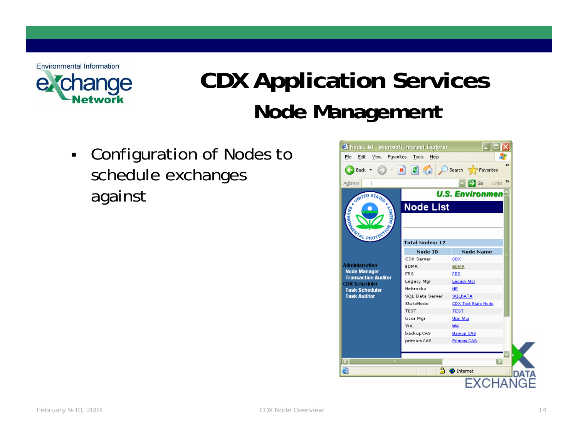

### **CDX Application Services Node Management**

 $\blacksquare$  Configuration of Nodes to schedule exchanges against

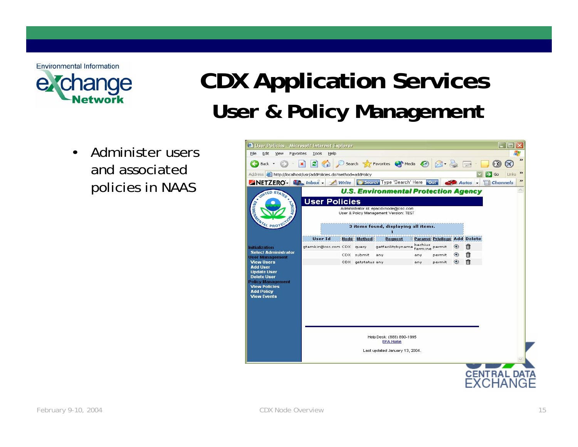

### **CDX Application Services User & Policy Management**

• Administer users and associated policies in NAAS

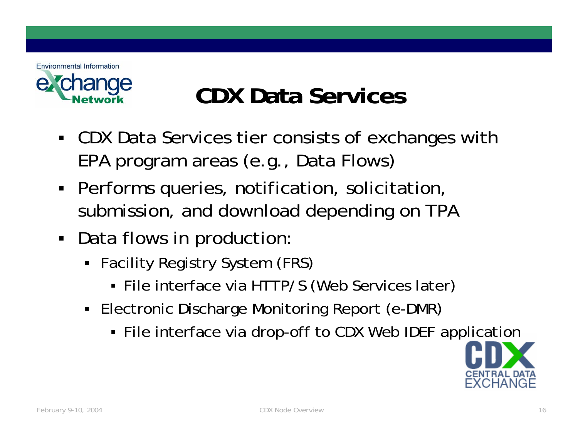

#### **CDX Data Services**

- CDX Data Services tier consists of exchanges with EPA program areas (e.g., D ata Flows)
- Performs queries, notification, solicitation, submission, and download depending on TPA
- **Data flows in production** 
	- Facility Registry System (FRS)
		- File interface via HTTP/S (Web Services later)
	- Electronic Discharge Monitoring Report (e-DMR)
		- File interface via drop-off to CDX Web IDEF application

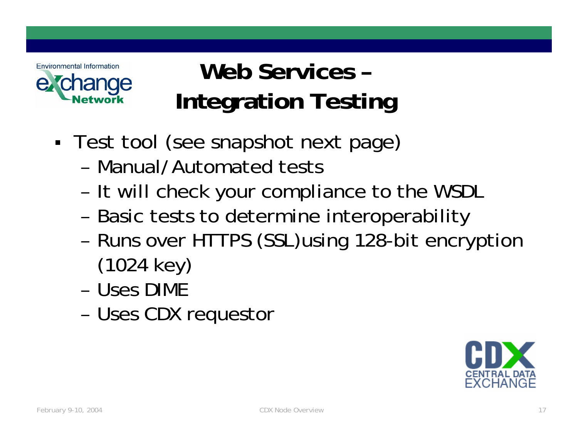

#### **Web Services –Integration Testing**

- ٠ Test tool (see snapshot next page)
	- Manual/Automated tests
	- –- It will check your compliance to the WSDL
	- –- Basic tests to determine interoperability
	- – Runs over HTTPS (SSL)using 128-bit encryption (1024 key)
	- Uses DIME
	- –Uses CDX requestor

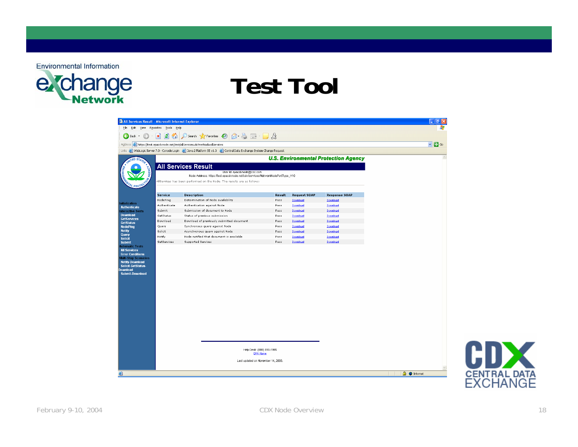

#### **Test Tool**

| All Services Result - Microsoft Internet Explorer                                                                                            |                            |                                                                                                                                                           |              |                      |                                             | - 10                    |                                      |
|----------------------------------------------------------------------------------------------------------------------------------------------|----------------------------|-----------------------------------------------------------------------------------------------------------------------------------------------------------|--------------|----------------------|---------------------------------------------|-------------------------|--------------------------------------|
| Edit View Favorites Tools Help                                                                                                               |                            |                                                                                                                                                           |              |                      |                                             |                         |                                      |
|                                                                                                                                              |                            |                                                                                                                                                           |              |                      |                                             |                         |                                      |
| Back +<br>6                                                                                                                                  |                            | B 2 0 Search ☆ Favorites → B → B → B                                                                                                                      |              |                      |                                             |                         |                                      |
| Address (e) https://test.epacdxnode.net/test/allServices.do?method=allServices                                                               |                            |                                                                                                                                                           |              |                      |                                             | $\vee$ $\rightarrow$ Go |                                      |
|                                                                                                                                              |                            | Links @ WebLogic Server 7.0 - Console Login @ Java 2 Platform SE v1.3 @ Central Data Exchange System Change Request                                       |              |                      |                                             |                         |                                      |
|                                                                                                                                              |                            |                                                                                                                                                           |              |                      | <b>U.S. Environmental Protection Agency</b> |                         |                                      |
| <b>TED STAD</b>                                                                                                                              |                            |                                                                                                                                                           |              |                      |                                             |                         |                                      |
|                                                                                                                                              | <b>All Services Result</b> |                                                                                                                                                           |              |                      |                                             |                         |                                      |
|                                                                                                                                              |                            | User Id: epacdxnode@csc.com                                                                                                                               |              |                      |                                             |                         |                                      |
|                                                                                                                                              |                            | Node Address: https://test.epacdxnode.net/cdx/services/NetworkNodePortType_V10<br>AllServices has been performed on the Node. The results are as follows: |              |                      |                                             |                         |                                      |
|                                                                                                                                              |                            |                                                                                                                                                           |              |                      |                                             |                         |                                      |
|                                                                                                                                              |                            |                                                                                                                                                           |              |                      |                                             |                         |                                      |
| Service                                                                                                                                      |                            | <b>Description</b>                                                                                                                                        | Result       | <b>Request SOAP</b>  | <b>Response SOAP</b>                        |                         |                                      |
| NodePing<br>nitialization                                                                                                                    |                            | Determination of Node availability                                                                                                                        | Pass         | Download             | Download                                    |                         |                                      |
| <b>Authenticate</b>                                                                                                                          | Authenticate               | Authentication against Node                                                                                                                               | Pass         | Download             | Download                                    |                         |                                      |
| Submit<br><b>Interactive Tests</b><br><b>Download</b>                                                                                        |                            | Submission of document to Node                                                                                                                            | Pass         | Download             | Download                                    |                         |                                      |
| GetStatus<br><b>GetServices</b><br>Download                                                                                                  |                            | Status of previous submission<br>Download of previously submitted document                                                                                | Pass         | Download             | Download                                    |                         |                                      |
| <b>GetStatus</b><br>Query                                                                                                                    |                            | Synchronous query against Node                                                                                                                            | Pass<br>Pass | Download<br>Download | Download<br>Download                        |                         |                                      |
| <b>NodePing</b><br>Solicit                                                                                                                   |                            | Asynchronous query against Node                                                                                                                           | Pass         | Download             | Download                                    |                         |                                      |
| Notify                                                                                                                                       |                            | Node notified that document is available                                                                                                                  | Pass         | Download             | Download                                    |                         |                                      |
|                                                                                                                                              | GetServices                | Supported Services                                                                                                                                        | Pass         | Download             | Download                                    |                         |                                      |
| <b>Error Conditions</b><br>Multi-Step Scenarios<br><b>Notify-Download</b><br><b>Solicit-GetStatus-</b><br>Download<br><b>Submit-Download</b> |                            |                                                                                                                                                           |              |                      |                                             |                         |                                      |
|                                                                                                                                              |                            | Help Desk: (888) 890-1995<br><b>EPA Home</b><br>Last updated on November 14, 2003.                                                                        |              |                      |                                             | <b>A O</b> Internet     | <b>CDX</b>                           |
|                                                                                                                                              |                            |                                                                                                                                                           |              |                      |                                             |                         | <b>CENTRAL DATA</b><br><b>EXCHAN</b> |
|                                                                                                                                              |                            |                                                                                                                                                           |              |                      |                                             |                         |                                      |

February 9-10, 2004 **CDX Node Overview** CDX Node Overview 18